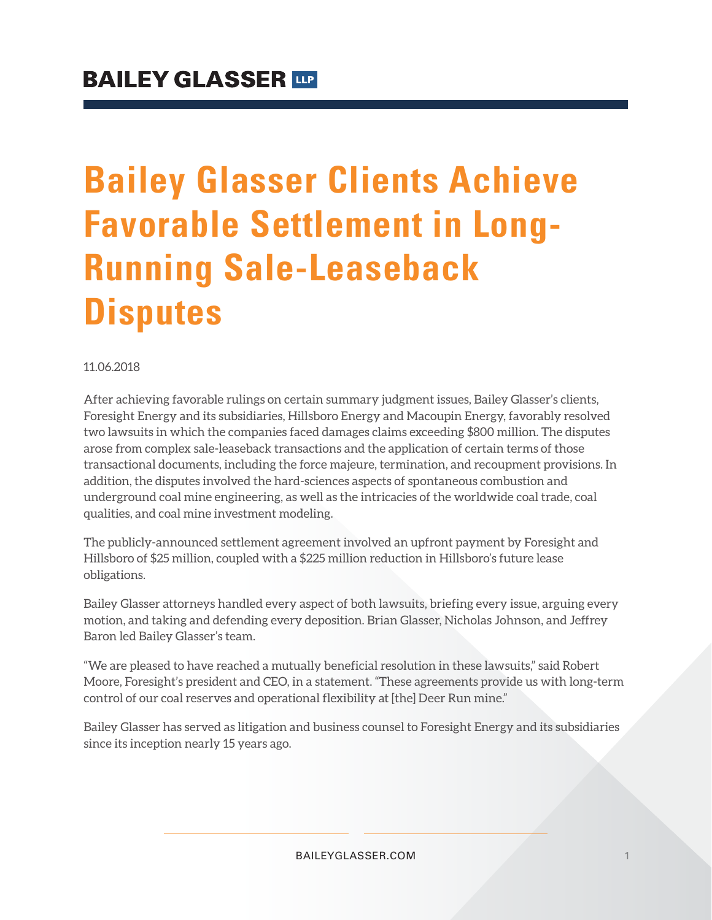# **Bailey Glasser Clients Achieve Favorable Settlement in Long-Running Sale-Leaseback Disputes**

#### 11.06.2018

After achieving favorable rulings on certain summary judgment issues, Bailey Glasser's clients, Foresight Energy and its subsidiaries, Hillsboro Energy and Macoupin Energy, favorably resolved two lawsuits in which the companies faced damages claims exceeding \$800 million. The disputes arose from complex sale-leaseback transactions and the application of certain terms of those transactional documents, including the force majeure, termination, and recoupment provisions. In addition, the disputes involved the hard-sciences aspects of spontaneous combustion and underground coal mine engineering, as well as the intricacies of the worldwide coal trade, coal qualities, and coal mine investment modeling.

The publicly-announced settlement agreement involved an upfront payment by Foresight and Hillsboro of \$25 million, coupled with a \$225 million reduction in Hillsboro's future lease obligations.

Bailey Glasser attorneys handled every aspect of both lawsuits, briefing every issue, arguing every motion, and taking and defending every deposition. Brian Glasser, Nicholas Johnson, and Jeffrey Baron led Bailey Glasser's team.

"We are pleased to have reached a mutually beneficial resolution in these lawsuits," said Robert Moore, Foresight's president and CEO, in a statement. "These agreements provide us with long-term control of our coal reserves and operational flexibility at [the] Deer Run mine."

Bailey Glasser has served as litigation and business counsel to Foresight Energy and its subsidiaries since its inception nearly 15 years ago.